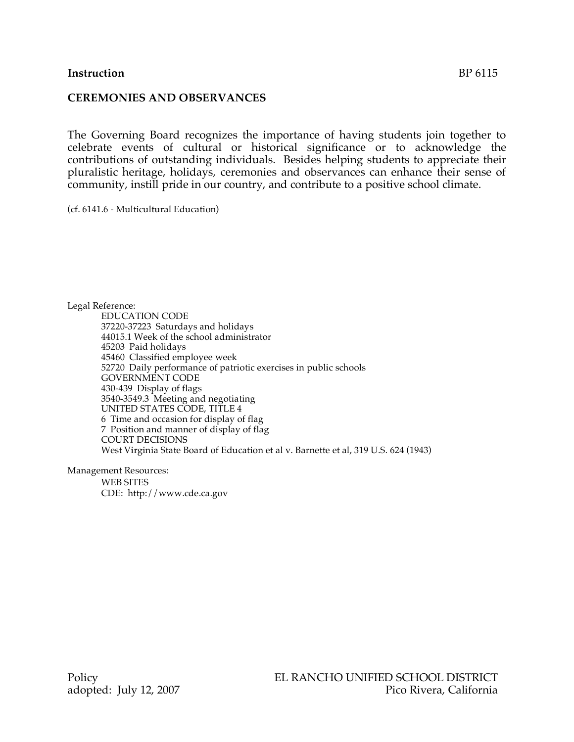#### **Instruction** BP 6115

#### **CEREMONIES AND OBSERVANCES**

The Governing Board recognizes the importance of having students join together to celebrate events of cultural or historical significance or to acknowledge the contributions of outstanding individuals. Besides helping students to appreciate their pluralistic heritage, holidays, ceremonies and observances can enhance their sense of community, instill pride in our country, and contribute to a positive school climate.

(cf. 6141.6 - Multicultural Education)

Legal Reference: EDUCATION CODE 37220-37223 Saturdays and holidays 44015.1 Week of the school administrator 45203 Paid holidays 45460 Classified employee week 52720 Daily performance of patriotic exercises in public schools GOVERNMENT CODE 430-439 Display of flags 3540-3549.3 Meeting and negotiating UNITED STATES CODE, TITLE 4 6 Time and occasion for display of flag 7 Position and manner of display of flag COURT DECISIONS West Virginia State Board of Education et al v. Barnette et al, 319 U.S. 624 (1943)

Management Resources: WEB SITES CDE: http://www.cde.ca.gov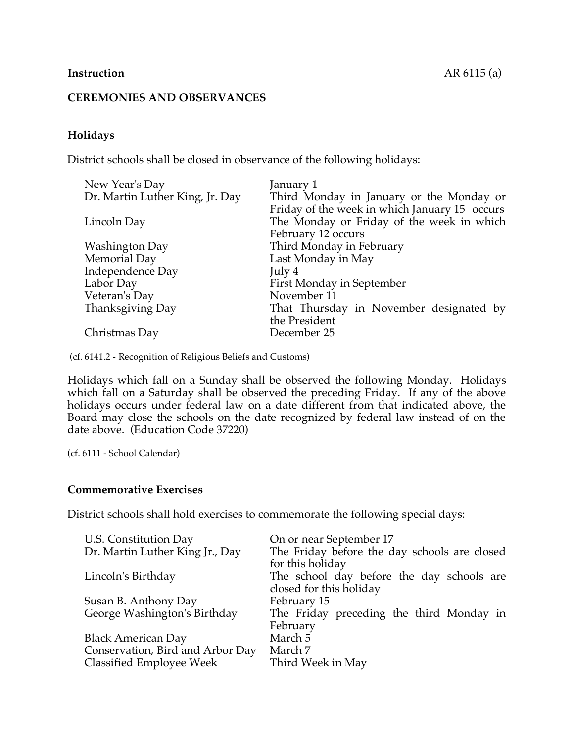## **CEREMONIES AND OBSERVANCES**

# **Holidays**

District schools shall be closed in observance of the following holidays:

| New Year's Day                  | January 1                                     |
|---------------------------------|-----------------------------------------------|
| Dr. Martin Luther King, Jr. Day | Third Monday in January or the Monday or      |
|                                 | Friday of the week in which January 15 occurs |
| Lincoln Day                     | The Monday or Friday of the week in which     |
|                                 | February 12 occurs                            |
| Washington Day                  | Third Monday in February                      |
| Memorial Day                    | Last Monday in May                            |
| Independence Day                | July 4                                        |
| Labor Day                       | First Monday in September                     |
| Veteran's Day                   | November 11                                   |
| Thanksgiving Day                | That Thursday in November designated by       |
|                                 | the President                                 |
| Christmas Day                   | December 25                                   |

(cf. 6141.2 - Recognition of Religious Beliefs and Customs)

Holidays which fall on a Sunday shall be observed the following Monday. Holidays which fall on a Saturday shall be observed the preceding Friday. If any of the above holidays occurs under federal law on a date different from that indicated above, the Board may close the schools on the date recognized by federal law instead of on the date above. (Education Code 37220)

(cf. 6111 - School Calendar)

## **Commemorative Exercises**

District schools shall hold exercises to commemorate the following special days:

| U.S. Constitution Day            | On or near September 17                      |
|----------------------------------|----------------------------------------------|
| Dr. Martin Luther King Jr., Day  | The Friday before the day schools are closed |
|                                  | for this holiday                             |
| Lincoln's Birthday               | The school day before the day schools are    |
|                                  | closed for this holiday                      |
| Susan B. Anthony Day             | February 15                                  |
| George Washington's Birthday     | The Friday preceding the third Monday in     |
|                                  | February                                     |
| <b>Black American Day</b>        | March 5                                      |
| Conservation, Bird and Arbor Day | March 7                                      |
| Classified Employee Week         | Third Week in May                            |